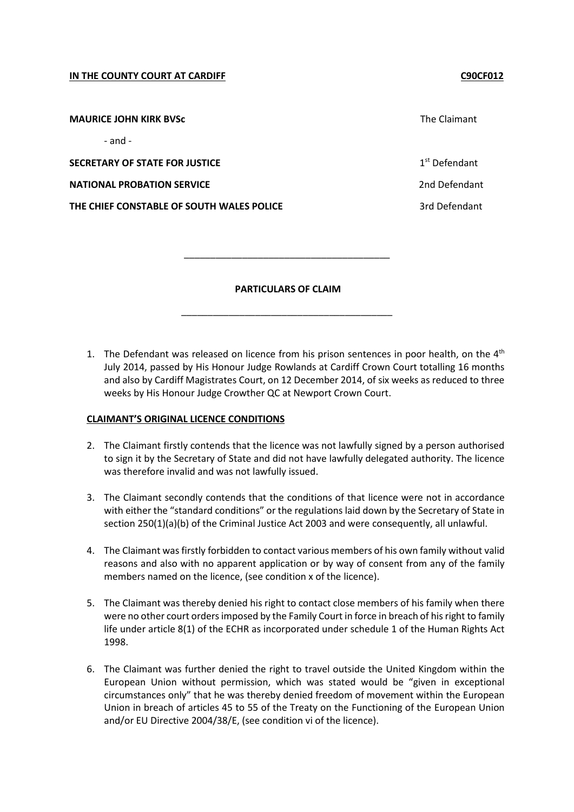#### **IN THE COUNTY COURT AT CARDIFF COUNTY COURT AT CARDIFF**

**MAURICE JOHN KIRK BVSc** The Claimant

- and -

**SECRETARY OF STATE FOR JUSTICE** 

**NATIONAL PROBATION SERVICE** 2nd Defendant

**THE CHIEF CONSTABLE OF SOUTH WALES POLICE 3rd Defendant** 3rd Defendant

 $1<sup>st</sup>$  Defendant

**PARTICULARS OF CLAIM**

\_\_\_\_\_\_\_\_\_\_\_\_\_\_\_\_\_\_\_\_\_\_\_\_\_\_\_\_\_\_\_\_\_\_\_\_\_\_\_\_

\_\_\_\_\_\_\_\_\_\_\_\_\_\_\_\_\_\_\_\_\_\_\_\_\_\_\_\_\_\_\_\_\_\_\_\_\_\_\_

1. The Defendant was released on licence from his prison sentences in poor health, on the  $4<sup>th</sup>$ July 2014, passed by His Honour Judge Rowlands at Cardiff Crown Court totalling 16 months and also by Cardiff Magistrates Court, on 12 December 2014, of six weeks as reduced to three weeks by His Honour Judge Crowther QC at Newport Crown Court.

### **CLAIMANT'S ORIGINAL LICENCE CONDITIONS**

- 2. The Claimant firstly contends that the licence was not lawfully signed by a person authorised to sign it by the Secretary of State and did not have lawfully delegated authority. The licence was therefore invalid and was not lawfully issued.
- 3. The Claimant secondly contends that the conditions of that licence were not in accordance with either the "standard conditions" or the regulations laid down by the Secretary of State in section 250(1)(a)(b) of the Criminal Justice Act 2003 and were consequently, all unlawful.
- 4. The Claimant was firstly forbidden to contact various members of his own family without valid reasons and also with no apparent application or by way of consent from any of the family members named on the licence, (see condition x of the licence).
- 5. The Claimant was thereby denied his right to contact close members of his family when there were no other court orders imposed by the Family Court in force in breach of his right to family life under article 8(1) of the ECHR as incorporated under schedule 1 of the Human Rights Act 1998.
- 6. The Claimant was further denied the right to travel outside the United Kingdom within the European Union without permission, which was stated would be "given in exceptional circumstances only" that he was thereby denied freedom of movement within the European Union in breach of articles 45 to 55 of the Treaty on the Functioning of the European Union and/or EU Directive 2004/38/E, (see condition vi of the licence).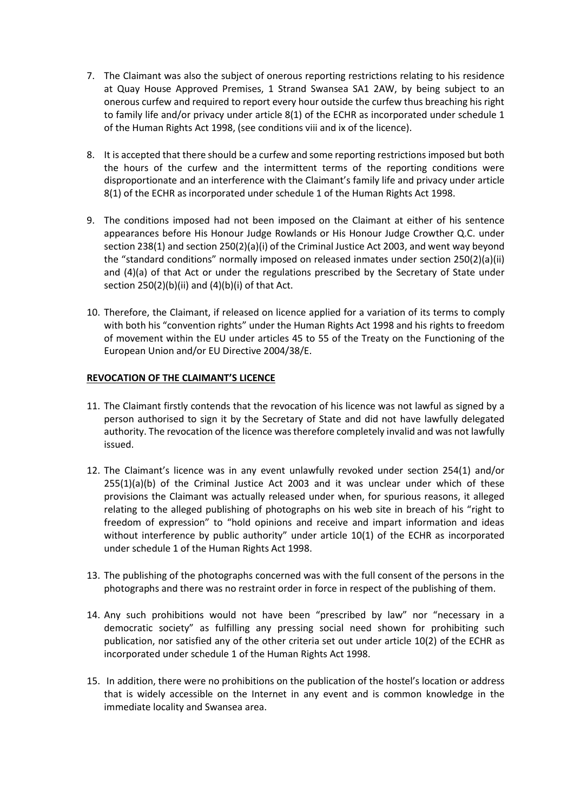- 7. The Claimant was also the subject of onerous reporting restrictions relating to his residence at Quay House Approved Premises, 1 Strand Swansea SA1 2AW, by being subject to an onerous curfew and required to report every hour outside the curfew thus breaching his right to family life and/or privacy under article 8(1) of the ECHR as incorporated under schedule 1 of the Human Rights Act 1998, (see conditions viii and ix of the licence).
- 8. It is accepted that there should be a curfew and some reporting restrictions imposed but both the hours of the curfew and the intermittent terms of the reporting conditions were disproportionate and an interference with the Claimant's family life and privacy under article 8(1) of the ECHR as incorporated under schedule 1 of the Human Rights Act 1998.
- 9. The conditions imposed had not been imposed on the Claimant at either of his sentence appearances before His Honour Judge Rowlands or His Honour Judge Crowther Q.C. under section 238(1) and section 250(2)(a)(i) of the Criminal Justice Act 2003, and went way beyond the "standard conditions" normally imposed on released inmates under section 250(2)(a)(ii) and (4)(a) of that Act or under the regulations prescribed by the Secretary of State under section  $250(2)(b)(ii)$  and  $(4)(b)(i)$  of that Act.
- 10. Therefore, the Claimant, if released on licence applied for a variation of its terms to comply with both his "convention rights" under the Human Rights Act 1998 and his rights to freedom of movement within the EU under articles 45 to 55 of the Treaty on the Functioning of the European Union and/or EU Directive 2004/38/E.

### **REVOCATION OF THE CLAIMANT'S LICENCE**

- 11. The Claimant firstly contends that the revocation of his licence was not lawful as signed by a person authorised to sign it by the Secretary of State and did not have lawfully delegated authority. The revocation of the licence was therefore completely invalid and was not lawfully issued.
- 12. The Claimant's licence was in any event unlawfully revoked under section 254(1) and/or  $255(1)(a)(b)$  of the Criminal Justice Act 2003 and it was unclear under which of these provisions the Claimant was actually released under when, for spurious reasons, it alleged relating to the alleged publishing of photographs on his web site in breach of his "right to freedom of expression" to "hold opinions and receive and impart information and ideas without interference by public authority" under article 10(1) of the ECHR as incorporated under schedule 1 of the Human Rights Act 1998.
- 13. The publishing of the photographs concerned was with the full consent of the persons in the photographs and there was no restraint order in force in respect of the publishing of them.
- 14. Any such prohibitions would not have been "prescribed by law" nor "necessary in a democratic society" as fulfilling any pressing social need shown for prohibiting such publication, nor satisfied any of the other criteria set out under article 10(2) of the ECHR as incorporated under schedule 1 of the Human Rights Act 1998.
- 15. In addition, there were no prohibitions on the publication of the hostel's location or address that is widely accessible on the Internet in any event and is common knowledge in the immediate locality and Swansea area.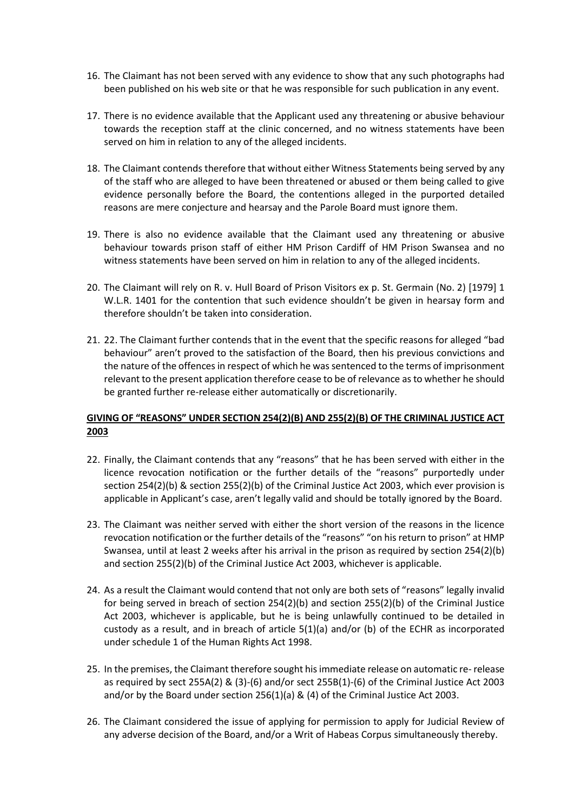- 16. The Claimant has not been served with any evidence to show that any such photographs had been published on his web site or that he was responsible for such publication in any event.
- 17. There is no evidence available that the Applicant used any threatening or abusive behaviour towards the reception staff at the clinic concerned, and no witness statements have been served on him in relation to any of the alleged incidents.
- 18. The Claimant contends therefore that without either Witness Statements being served by any of the staff who are alleged to have been threatened or abused or them being called to give evidence personally before the Board, the contentions alleged in the purported detailed reasons are mere conjecture and hearsay and the Parole Board must ignore them.
- 19. There is also no evidence available that the Claimant used any threatening or abusive behaviour towards prison staff of either HM Prison Cardiff of HM Prison Swansea and no witness statements have been served on him in relation to any of the alleged incidents.
- 20. The Claimant will rely on R. v. Hull Board of Prison Visitors ex p. St. Germain (No. 2) [1979] 1 W.L.R. 1401 for the contention that such evidence shouldn't be given in hearsay form and therefore shouldn't be taken into consideration.
- 21. 22. The Claimant further contends that in the event that the specific reasons for alleged "bad behaviour" aren't proved to the satisfaction of the Board, then his previous convictions and the nature of the offences in respect of which he was sentenced to the terms of imprisonment relevant to the present application therefore cease to be of relevance as to whether he should be granted further re-release either automatically or discretionarily.

# **GIVING OF "REASONS" UNDER SECTION 254(2)(B) AND 255(2)(B) OF THE CRIMINAL JUSTICE ACT 2003**

- 22. Finally, the Claimant contends that any "reasons" that he has been served with either in the licence revocation notification or the further details of the "reasons" purportedly under section 254(2)(b) & section 255(2)(b) of the Criminal Justice Act 2003, which ever provision is applicable in Applicant's case, aren't legally valid and should be totally ignored by the Board.
- 23. The Claimant was neither served with either the short version of the reasons in the licence revocation notification or the further details of the "reasons" "on his return to prison" at HMP Swansea, until at least 2 weeks after his arrival in the prison as required by section 254(2)(b) and section 255(2)(b) of the Criminal Justice Act 2003, whichever is applicable.
- 24. As a result the Claimant would contend that not only are both sets of "reasons" legally invalid for being served in breach of section 254(2)(b) and section 255(2)(b) of the Criminal Justice Act 2003, whichever is applicable, but he is being unlawfully continued to be detailed in custody as a result, and in breach of article 5(1)(a) and/or (b) of the ECHR as incorporated under schedule 1 of the Human Rights Act 1998.
- 25. In the premises, the Claimant therefore sought his immediate release on automatic re- release as required by sect 255A(2) & (3)-(6) and/or sect 255B(1)-(6) of the Criminal Justice Act 2003 and/or by the Board under section  $256(1)(a)$  & (4) of the Criminal Justice Act 2003.
- 26. The Claimant considered the issue of applying for permission to apply for Judicial Review of any adverse decision of the Board, and/or a Writ of Habeas Corpus simultaneously thereby.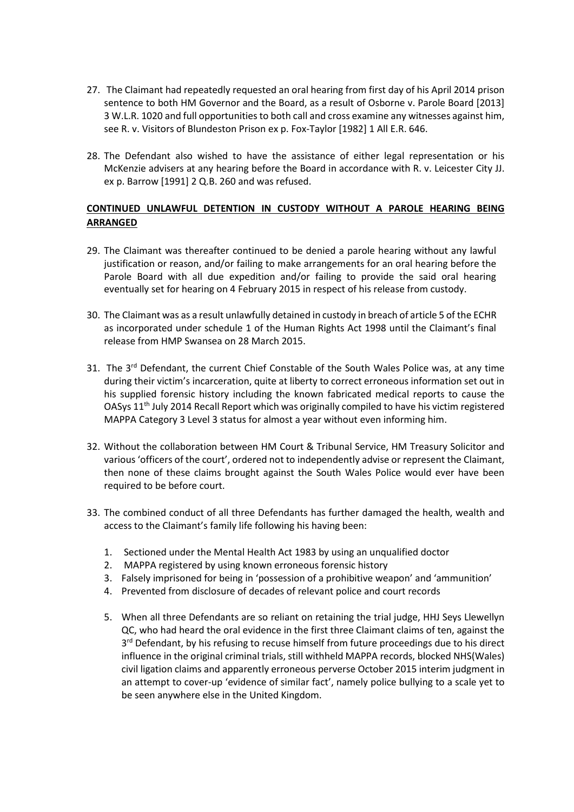- 27. The Claimant had repeatedly requested an oral hearing from first day of his April 2014 prison sentence to both HM Governor and the Board, as a result of Osborne v. Parole Board [2013] 3 W.L.R. 1020 and full opportunities to both call and cross examine any witnesses against him, see R. v. Visitors of Blundeston Prison ex p. Fox-Taylor [1982] 1 All E.R. 646.
- 28. The Defendant also wished to have the assistance of either legal representation or his McKenzie advisers at any hearing before the Board in accordance with R. v. Leicester City JJ. ex p. Barrow [1991] 2 Q.B. 260 and was refused.

# **CONTINUED UNLAWFUL DETENTION IN CUSTODY WITHOUT A PAROLE HEARING BEING ARRANGED**

- 29. The Claimant was thereafter continued to be denied a parole hearing without any lawful justification or reason, and/or failing to make arrangements for an oral hearing before the Parole Board with all due expedition and/or failing to provide the said oral hearing eventually set for hearing on 4 February 2015 in respect of his release from custody.
- 30. The Claimant was as a result unlawfully detained in custody in breach of article 5 of the ECHR as incorporated under schedule 1 of the Human Rights Act 1998 until the Claimant's final release from HMP Swansea on 28 March 2015.
- 31. The  $3^{rd}$  Defendant, the current Chief Constable of the South Wales Police was, at any time during their victim's incarceration, quite at liberty to correct erroneous information set out in his supplied forensic history including the known fabricated medical reports to cause the OASys 11th July 2014 Recall Report which was originally compiled to have his victim registered MAPPA Category 3 Level 3 status for almost a year without even informing him.
- 32. Without the collaboration between HM Court & Tribunal Service, HM Treasury Solicitor and various 'officers of the court', ordered not to independently advise or represent the Claimant, then none of these claims brought against the South Wales Police would ever have been required to be before court.
- 33. The combined conduct of all three Defendants has further damaged the health, wealth and access to the Claimant's family life following his having been:
	- 1. Sectioned under the Mental Health Act 1983 by using an unqualified doctor
	- 2. MAPPA registered by using known erroneous forensic history
	- 3. Falsely imprisoned for being in 'possession of a prohibitive weapon' and 'ammunition'
	- 4. Prevented from disclosure of decades of relevant police and court records
	- 5. When all three Defendants are so reliant on retaining the trial judge, HHJ Seys Llewellyn QC, who had heard the oral evidence in the first three Claimant claims of ten, against the 3<sup>rd</sup> Defendant, by his refusing to recuse himself from future proceedings due to his direct influence in the original criminal trials, still withheld MAPPA records, blocked NHS(Wales) civil ligation claims and apparently erroneous perverse October 2015 interim judgment in an attempt to cover-up 'evidence of similar fact', namely police bullying to a scale yet to be seen anywhere else in the United Kingdom.